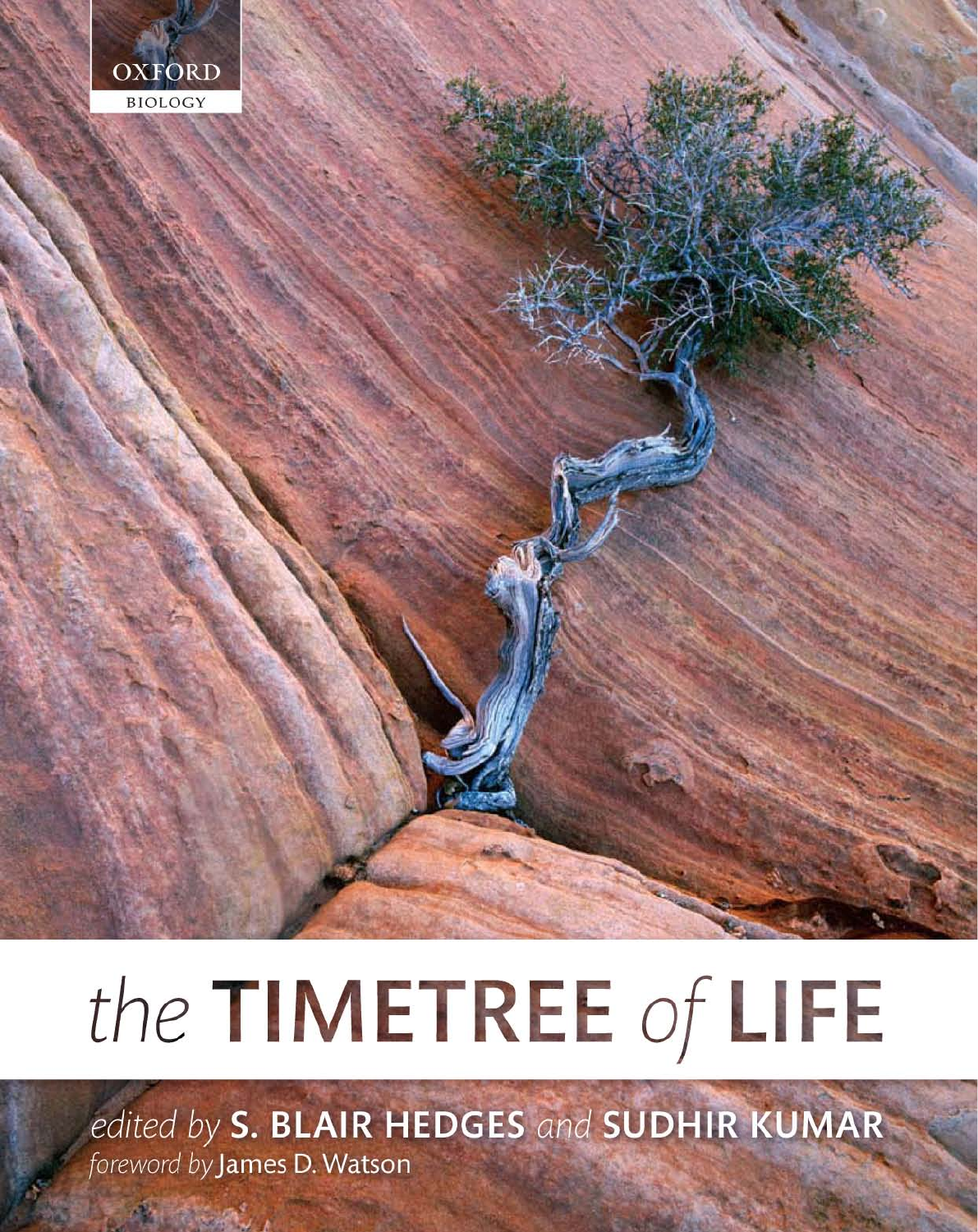

# the TIMETREE of LIFE

edited by S. BLAIR HEDGES and SUDHIR KUMAR foreword by James D. Watson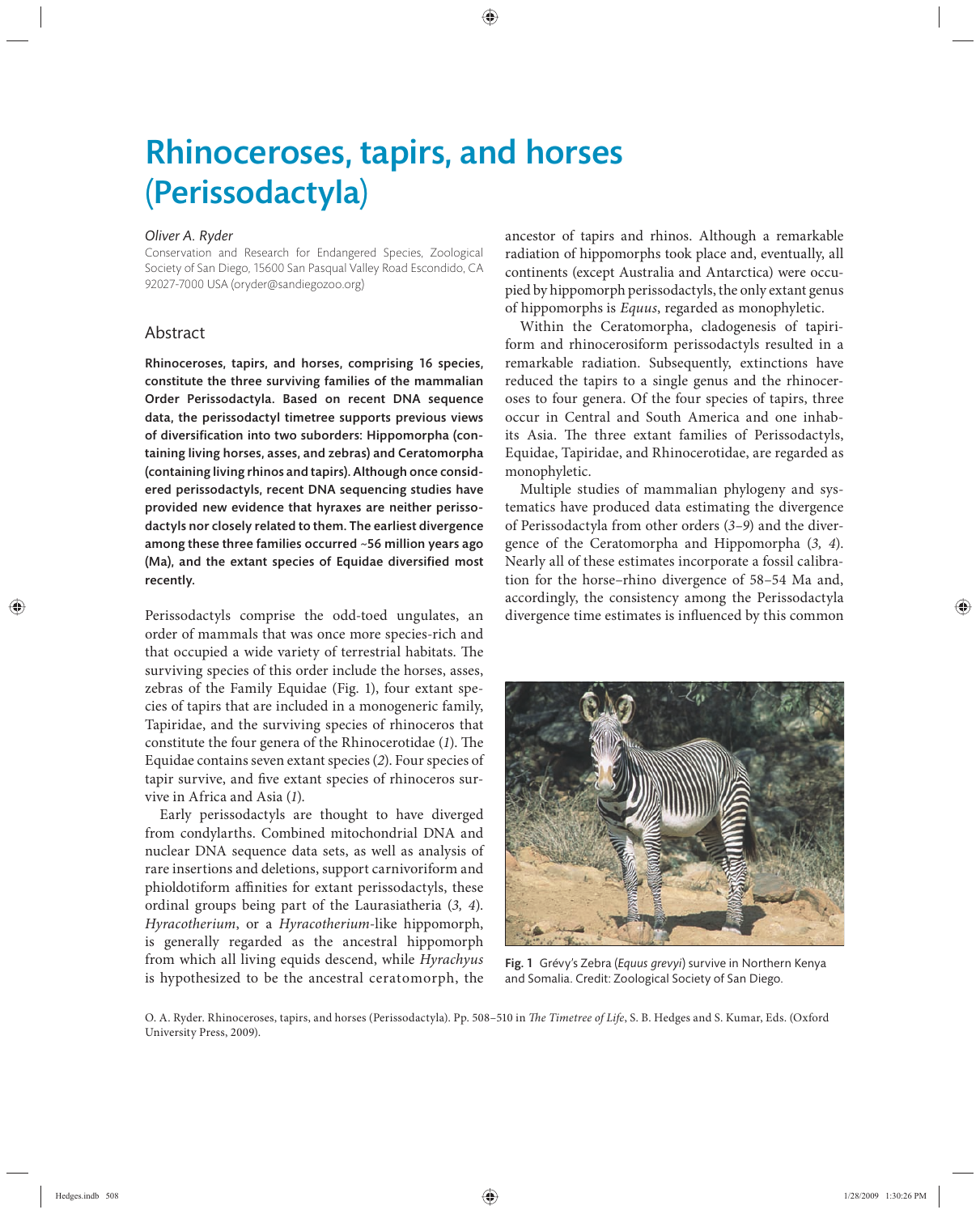# Rhinoceroses, tapirs, and horses (Perissodactyla)

#### *Oliver A. Ryder*

Conservation and Research for Endangered Species, Zoological Society of San Diego, 15600 San Pasqual Valley Road Escondido, CA 92027-7000 USA (oryder@sandiegozoo.org)

#### Abstract

Rhinoceroses, tapirs, and horses, comprising 16 species, constitute the three surviving families of the mammalian Order Perissodactyla. Based on recent DNA sequence data, the perissodactyl timetree supports previous views of diversification into two suborders: Hippomorpha (containing living horses, asses, and zebras) and Ceratomorpha (containing living rhinos and tapirs). Although once considered perissodactyls, recent DNA sequencing studies have provided new evidence that hyraxes are neither perissodactyls nor closely related to them. The earliest divergence among these three families occurred ~56 million years ago (Ma), and the extant species of Equidae diversified most recently.

Perissodactyls comprise the odd-toed ungulates, an order of mammals that was once more species-rich and that occupied a wide variety of terrestrial habitats. The surviving species of this order include the horses, asses, zebras of the Family Equidae (Fig. 1), four extant species of tapirs that are included in a monogeneric family, Tapiridae, and the surviving species of rhinoceros that constitute the four genera of the Rhinocerotidae (1). The Equidae contains seven extant species (*2*). Four species of tapir survive, and five extant species of rhinoceros survive in Africa and Asia (*1*).

Early perissodactyls are thought to have diverged from condylarths. Combined mitochondrial DNA and nuclear DNA sequence data sets, as well as analysis of rare insertions and deletions, support carnivoriform and phioldotiform affinities for extant perissodactyls, these ordinal groups being part of the Laurasiatheria (*3, 4*). *Hyracotherium*, or a *Hyracotherium*-like hippomorph, is generally regarded as the ancestral hippomorph from which all living equids descend, while *Hyrachyus*  is hypothesized to be the ancestral ceratomorph, the ancestor of tapirs and rhinos. Although a remarkable radiation of hippomorphs took place and, eventually, all continents (except Australia and Antarctica) were occupied by hippomorph perissodactyls, the only extant genus of hippomorphs is *Equus*, regarded as monophyletic.

Within the Ceratomorpha, cladogenesis of tapiriform and rhinocerosiform perissodactyls resulted in a remarkable radiation. Subsequently, extinctions have reduced the tapirs to a single genus and the rhinoceroses to four genera. Of the four species of tapirs, three occur in Central and South America and one inhabits Asia. The three extant families of Perissodactyls, Equidae, Tapiridae, and Rhinocerotidae, are regarded as monophyletic.

Multiple studies of mammalian phylogeny and systematics have produced data estimating the divergence of Perissodactyla from other orders (*3–9*) and the divergence of the Ceratomorpha and Hippomorpha (*3, 4*). Nearly all of these estimates incorporate a fossil calibration for the horse–rhino divergence of 58–54 Ma and, accordingly, the consistency among the Perissodactyla divergence time estimates is influenced by this common



Fig. 1 Grévy's Zebra (*Equus grevyi*) survive in Northern Kenya and Somalia. Credit: Zoological Society of San Diego.

O. A. Ryder. Rhinoceroses, tapirs, and horses (Perissodactyla). Pp. 508-510 in *The Timetree of Life*, S. B. Hedges and S. Kumar, Eds. (Oxford University Press, 2009).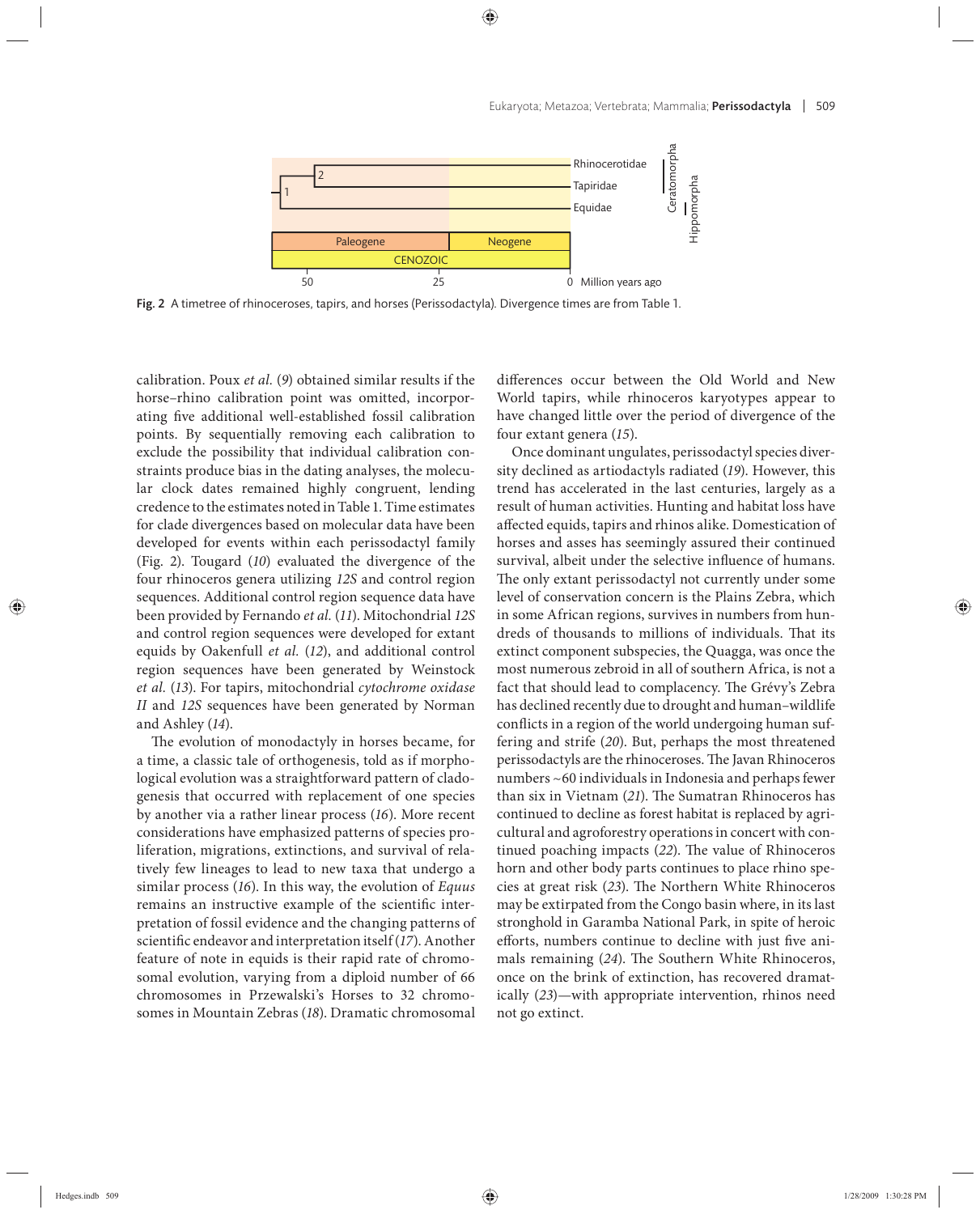

Fig. 2 A timetree of rhinoceroses, tapirs, and horses (Perissodactyla). Divergence times are from Table 1.

calibration. Poux *et al.* (*9*) obtained similar results if the horse–rhino calibration point was omitted, incorporating five additional well-established fossil calibration points. By sequentially removing each calibration to exclude the possibility that individual calibration constraints produce bias in the dating analyses, the molecular clock dates remained highly congruent, lending credence to the estimates noted in Table 1. Time estimates for clade divergences based on molecular data have been developed for events within each perissodactyl family (Fig. 2). Tougard (10) evaluated the divergence of the four rhinoceros genera utilizing *12S* and control region sequences. Additional control region sequence data have been provided by Fernando *et al.* (*11*). Mitochondrial *12S*  and control region sequences were developed for extant equids by Oakenfull *et al.* (*12*), and additional control region sequences have been generated by Weinstock *et al.* (*13*). For tapirs, mitochondrial *cytochrome oxidase II* and *12S* sequences have been generated by Norman and Ashley (*14*).

The evolution of monodactyly in horses became, for a time, a classic tale of orthogenesis, told as if morphological evolution was a straightforward pattern of cladogenesis that occurred with replacement of one species by another via a rather linear process (*16*). More recent considerations have emphasized patterns of species proliferation, migrations, extinctions, and survival of relatively few lineages to lead to new taxa that undergo a similar process (*16*). In this way, the evolution of *Equus* remains an instructive example of the scientific interpretation of fossil evidence and the changing patterns of scientific endeavor and interpretation itself (17). Another feature of note in equids is their rapid rate of chromosomal evolution, varying from a diploid number of 66 chromosomes in Przewalski's Horses to 32 chromosomes in Mountain Zebras (*18*). Dramatic chromosomal

differences occur between the Old World and New World tapirs, while rhinoceros karyotypes appear to have changed little over the period of divergence of the four extant genera (*15*).

Once dominant ungulates, perissodactyl species diversity declined as artiodactyls radiated (*19*). However, this trend has accelerated in the last centuries, largely as a result of human activities. Hunting and habitat loss have affected equids, tapirs and rhinos alike. Domestication of horses and asses has seemingly assured their continued survival, albeit under the selective influence of humans. The only extant perissodactyl not currently under some level of conservation concern is the Plains Zebra, which in some African regions, survives in numbers from hundreds of thousands to millions of individuals. That its extinct component subspecies, the Quagga, was once the most numerous zebroid in all of southern Africa, is not a fact that should lead to complacency. The Grévy's Zebra has declined recently due to drought and human–wildlife conflicts in a region of the world undergoing human suffering and strife (*20*). But, perhaps the most threatened perissodactyls are the rhinoceroses. The Javan Rhinoceros numbers ~60 individuals in Indonesia and perhaps fewer than six in Vietnam (21). The Sumatran Rhinoceros has continued to decline as forest habitat is replaced by agricultural and agroforestry operations in concert with continued poaching impacts (22). The value of Rhinoceros horn and other body parts continues to place rhino species at great risk (23). The Northern White Rhinoceros may be extirpated from the Congo basin where, in its last stronghold in Garamba National Park, in spite of heroic efforts, numbers continue to decline with just five animals remaining (24). The Southern White Rhinoceros, once on the brink of extinction, has recovered dramatically (*23*)—with appropriate intervention, rhinos need not go extinct.